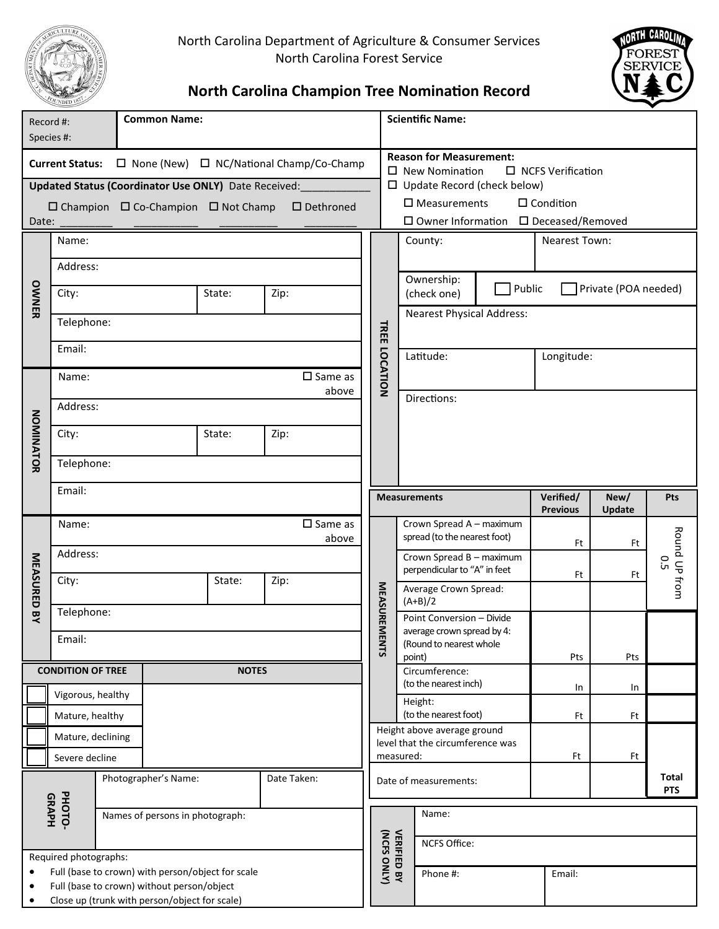

North Carolina Department of Agriculture & Consumer Services North Carolina Forest Service



# **North Carolina Champion Tree Nomination Record**

| Record #:                                                                     |                                                             |                                     | <b>Common Name:</b>             |                                                     |                     |                                                                 |                                   | <b>Scientific Name:</b>                                                               |                       |                 |               |               |  |  |
|-------------------------------------------------------------------------------|-------------------------------------------------------------|-------------------------------------|---------------------------------|-----------------------------------------------------|---------------------|-----------------------------------------------------------------|-----------------------------------|---------------------------------------------------------------------------------------|-----------------------|-----------------|---------------|---------------|--|--|
|                                                                               | Species #:                                                  |                                     |                                 |                                                     |                     |                                                                 |                                   |                                                                                       |                       |                 |               |               |  |  |
| $\Box$ None (New) $\Box$ NC/National Champ/Co-Champ<br><b>Current Status:</b> |                                                             |                                     |                                 |                                                     |                     |                                                                 |                                   | <b>Reason for Measurement:</b>                                                        |                       |                 |               |               |  |  |
|                                                                               | <b>Updated Status (Coordinator Use ONLY)</b> Date Received: |                                     |                                 |                                                     |                     |                                                                 |                                   | $\square$ New Nomination<br>□ NCFS Verification<br>$\Box$ Update Record (check below) |                       |                 |               |               |  |  |
|                                                                               |                                                             |                                     |                                 |                                                     |                     |                                                                 |                                   | $\square$ Measurements<br>$\square$ Condition                                         |                       |                 |               |               |  |  |
| Date:                                                                         |                                                             |                                     |                                 | $\Box$ Champion $\Box$ Co-Champion $\Box$ Not Champ | $\square$ Dethroned |                                                                 |                                   | □ Owner Information □ Deceased/Removed                                                |                       |                 |               |               |  |  |
|                                                                               | Name:                                                       |                                     |                                 |                                                     |                     |                                                                 |                                   | County:                                                                               |                       |                 |               |               |  |  |
| OWNER                                                                         |                                                             |                                     |                                 |                                                     |                     |                                                                 |                                   | <b>Nearest Town:</b>                                                                  |                       |                 |               |               |  |  |
|                                                                               | Address:                                                    |                                     |                                 |                                                     |                     |                                                                 |                                   |                                                                                       |                       |                 |               |               |  |  |
|                                                                               | City:                                                       |                                     |                                 | State:<br>Zip:                                      |                     |                                                                 |                                   | Ownership:<br>Public<br>Private (POA needed)<br>(check one)                           |                       |                 |               |               |  |  |
|                                                                               |                                                             |                                     |                                 |                                                     |                     |                                                                 | <b>Nearest Physical Address:</b>  |                                                                                       |                       |                 |               |               |  |  |
|                                                                               | Telephone:                                                  |                                     |                                 |                                                     |                     |                                                                 | <b>TREE LOCATION</b>              |                                                                                       |                       |                 |               |               |  |  |
|                                                                               | Email:                                                      |                                     |                                 |                                                     |                     |                                                                 |                                   |                                                                                       |                       |                 |               |               |  |  |
|                                                                               |                                                             |                                     |                                 |                                                     |                     |                                                                 |                                   | Latitude:                                                                             |                       | Longitude:      |               |               |  |  |
|                                                                               | $\square$ Same as<br>Name:                                  |                                     |                                 |                                                     |                     |                                                                 |                                   |                                                                                       |                       |                 |               |               |  |  |
|                                                                               | above<br>Address:                                           |                                     |                                 |                                                     |                     |                                                                 |                                   | Directions:                                                                           |                       |                 |               |               |  |  |
|                                                                               |                                                             |                                     |                                 |                                                     |                     |                                                                 |                                   |                                                                                       |                       |                 |               |               |  |  |
| NOMINATOR                                                                     | City:                                                       |                                     |                                 | State:                                              | Zip:                |                                                                 |                                   |                                                                                       |                       |                 |               |               |  |  |
|                                                                               |                                                             |                                     |                                 |                                                     |                     |                                                                 |                                   |                                                                                       |                       |                 |               |               |  |  |
|                                                                               | Telephone:                                                  |                                     |                                 |                                                     |                     |                                                                 |                                   |                                                                                       |                       |                 |               |               |  |  |
|                                                                               | Email:                                                      |                                     |                                 |                                                     |                     |                                                                 |                                   | <b>Measurements</b>                                                                   |                       | Verified/       | New/          | Pts           |  |  |
|                                                                               |                                                             |                                     |                                 |                                                     |                     |                                                                 |                                   |                                                                                       |                       | <b>Previous</b> | <b>Update</b> |               |  |  |
|                                                                               | $\square$ Same as<br>Name:<br>above                         |                                     |                                 |                                                     |                     |                                                                 |                                   | Crown Spread A - maximum<br>spread (to the nearest foot)                              |                       |                 |               |               |  |  |
| MEASURED BY                                                                   | Address:                                                    |                                     |                                 |                                                     |                     |                                                                 |                                   | Crown Spread B - maximum                                                              |                       | Ft              | Ft            |               |  |  |
|                                                                               |                                                             |                                     |                                 |                                                     |                     |                                                                 |                                   | perpendicular to "A" in feet                                                          |                       | Ft              | Ft            | С<br>С        |  |  |
|                                                                               | City:                                                       |                                     |                                 | State:                                              | Zip:                |                                                                 |                                   |                                                                                       | Average Crown Spread: |                 |               | Round UP from |  |  |
|                                                                               | Telephone:                                                  |                                     |                                 |                                                     |                     |                                                                 | <b>MEASUREM</b>                   | $(A+B)/2$                                                                             |                       |                 |               |               |  |  |
|                                                                               |                                                             |                                     |                                 |                                                     |                     |                                                                 |                                   | Point Conversion - Divide<br>average crown spread by 4:                               |                       |                 |               |               |  |  |
|                                                                               | Email:                                                      |                                     |                                 |                                                     |                     |                                                                 | <b>ENTS</b>                       | (Round to nearest whole                                                               |                       |                 |               |               |  |  |
|                                                                               | <b>CONDITION OF TREE</b>                                    |                                     |                                 | <b>NOTES</b>                                        |                     |                                                                 |                                   | point)<br>Circumference:                                                              |                       | Pts             | Pts           |               |  |  |
|                                                                               |                                                             |                                     |                                 |                                                     |                     |                                                                 |                                   | (to the nearest inch)                                                                 |                       | In              | In            |               |  |  |
|                                                                               | Vigorous, healthy                                           |                                     |                                 |                                                     |                     |                                                                 |                                   | Height:                                                                               |                       |                 |               |               |  |  |
|                                                                               | Mature, healthy                                             |                                     |                                 |                                                     |                     |                                                                 |                                   | (to the nearest foot)                                                                 |                       | Ft              | Ft            |               |  |  |
|                                                                               | Mature, declining                                           |                                     |                                 |                                                     |                     | Height above average ground<br>level that the circumference was |                                   |                                                                                       |                       |                 |               |               |  |  |
|                                                                               | Severe decline                                              |                                     |                                 |                                                     |                     |                                                                 | measured:                         |                                                                                       |                       | Ft              | Ft            |               |  |  |
|                                                                               |                                                             | Photographer's Name:<br>Date Taken: |                                 |                                                     |                     |                                                                 |                                   | Date of measurements:                                                                 |                       |                 |               | Total         |  |  |
|                                                                               |                                                             |                                     | Names of persons in photograph: |                                                     |                     |                                                                 |                                   |                                                                                       |                       |                 |               | <b>PTS</b>    |  |  |
|                                                                               | PHOTO-<br><b>GRAPH</b>                                      |                                     |                                 |                                                     |                     |                                                                 |                                   | Name:                                                                                 |                       |                 |               |               |  |  |
|                                                                               |                                                             |                                     |                                 |                                                     |                     |                                                                 |                                   |                                                                                       |                       |                 |               |               |  |  |
| Required photographs:                                                         |                                                             |                                     |                                 |                                                     |                     |                                                                 | <b>VERIFIED BY</b><br>(NCFS ONLY) | <b>NCFS Office:</b>                                                                   |                       |                 |               |               |  |  |
| $\bullet$                                                                     | Full (base to crown) with person/object for scale           |                                     |                                 |                                                     |                     |                                                                 |                                   | Phone #:                                                                              |                       | Email:          |               |               |  |  |
| Full (base to crown) without person/object<br>$\bullet$                       |                                                             |                                     |                                 |                                                     |                     |                                                                 |                                   |                                                                                       |                       |                 |               |               |  |  |
| Close up (trunk with person/object for scale)                                 |                                                             |                                     |                                 |                                                     |                     |                                                                 |                                   |                                                                                       |                       |                 |               |               |  |  |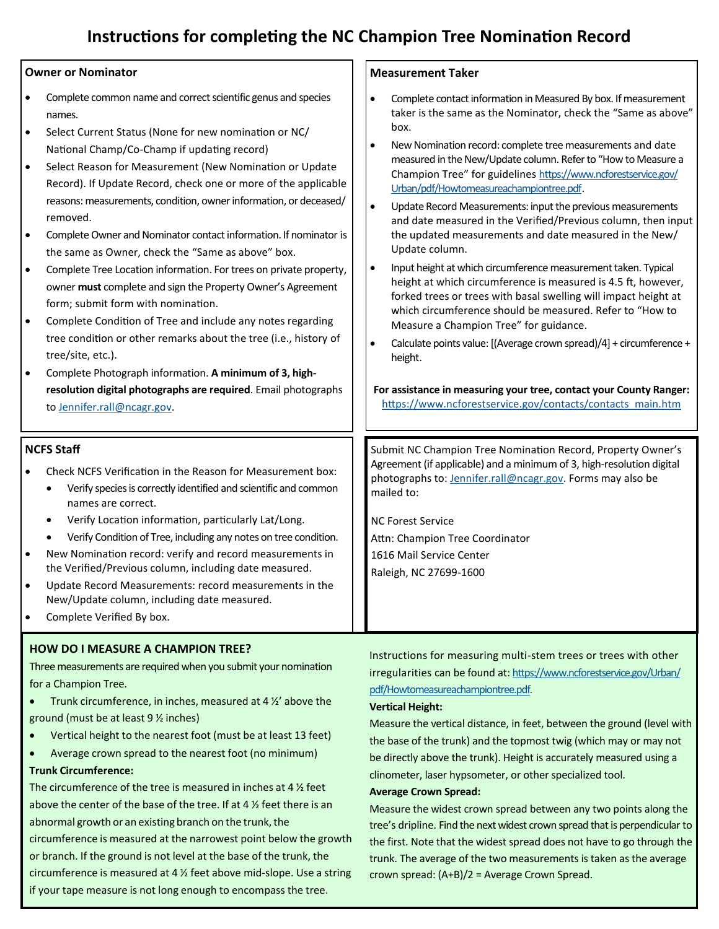# **Instructions for completing the NC Champion Tree Nomination Record**

#### **Owner or Nominator** • Complete common name and correct scientific genus and species names. • Select Current Status (None for new nomination or NC/ National Champ/Co-Champ if updating record) Select Reason for Measurement (New Nomination or Update Record). If Update Record, check one or more of the applicable reasons: measurements, condition, owner information, or deceased/ removed. • Complete Owner and Nominator contact information. If nominator is the same as Owner, check the "Same as above" box. • Complete Tree Location information. For trees on private property, owner **must** complete and sign the Property Owner's Agreement form; submit form with nomination. • Complete Condition of Tree and include any notes regarding tree condition or other remarks about the tree (i.e., history of tree/site, etc.). • Complete Photograph information. **A minimum of 3, highresolution digital photographs are required**. Email photographs to [Jennifer.rall@ncagr.gov.](mailto:Jennifer.rall@ncagr.gov) **Measurement Taker** • Complete contact information in Measured By box. If measurement taker is the same as the Nominator, check the "Same as above" box. • New Nomination record: complete tree measurements and date measured in the New/Update column. Refer to "How to Measure a Champion Tree" for guidelines [https://www.ncforestservice.gov/](https://www.ncforestservice.gov/Urban/pdf/Howtomeasureachampiontree.pdf) [Urban/pdf/Howtomeasureachampiontree.pdf.](https://www.ncforestservice.gov/Urban/pdf/Howtomeasureachampiontree.pdf) • Update Record Measurements: input the previous measurements and date measured in the Verified/Previous column, then input the updated measurements and date measured in the New/ Update column. • Input height at which circumference measurement taken. Typical height at which circumference is measured is 4.5 ft, however, forked trees or trees with basal swelling will impact height at which circumference should be measured. Refer to "How to Measure a Champion Tree" for guidance. • Calculate points value: [(Average crown spread)/4] + circumference + height. **For assistance in measuring your tree, contact your County Ranger:** [https://www.ncforestservice.gov/contacts/contacts\\_main.htm](https://www.ncforestservice.gov/contacts/contacts_main.htm)  **NCFS Staff** • Check NCFS Verification in the Reason for Measurement box: • Verify species is correctly identified and scientific and common names are correct. • Verify Location information, particularly Lat/Long. • Verify Condition of Tree, including any notes on tree condition. • New Nomination record: verify and record measurements in the Verified/Previous column, including date measured. • Update Record Measurements: record measurements in the New/Update column, including date measured. Complete Verified By box. Submit NC Champion Tree Nomination Record, Property Owner's Agreement (if applicable) and a minimum of 3, high-resolution digital photographs to: [Jennifer.rall@ncagr.gov.](mailto:Jennifer.rall@ncagr.gov) Forms may also be mailed to: NC Forest Service Attn: Champion Tree Coordinator 1616 Mail Service Center Raleigh, NC 27699-1600

### **HOW DO I MEASURE A CHAMPION TREE?**

Three measurements are required when you submit your nomination for a Champion Tree.

Trunk circumference, in inches, measured at 4  $\frac{1}{2}$  above the ground (must be at least 9 ½ inches)

- Vertical height to the nearest foot (must be at least 13 feet)
- Average crown spread to the nearest foot (no minimum)

### **Trunk Circumference:**

The circumference of the tree is measured in inches at 4 ½ feet above the center of the base of the tree. If at 4 ½ feet there is an abnormal growth or an existing branch on the trunk, the circumference is measured at the narrowest point below the growth or branch. If the ground is not level at the base of the trunk, the circumference is measured at 4 ½ feet above mid-slope. Use a string if your tape measure is not long enough to encompass the tree.

Instructions for measuring multi-stem trees or trees with other irregularities can be found at: [https://www.ncforestservice.gov/Urban/](https://www.ncforestservice.gov/Urban/pdf/Howtomeasureachampiontree.pdf) [pdf/Howtomeasureachampiontree.pdf.](https://www.ncforestservice.gov/Urban/pdf/Howtomeasureachampiontree.pdf)

#### **Vertical Height:**

Measure the vertical distance, in feet, between the ground (level with the base of the trunk) and the topmost twig (which may or may not be directly above the trunk). Height is accurately measured using a clinometer, laser hypsometer, or other specialized tool.

#### **Average Crown Spread:**

Measure the widest crown spread between any two points along the tree's dripline. Find the next widest crown spread that is perpendicular to the first. Note that the widest spread does not have to go through the trunk. The average of the two measurements is taken as the average crown spread: (A+B)/2 = Average Crown Spread.